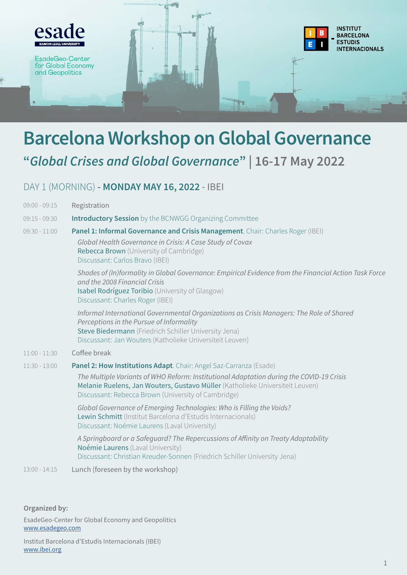

## **Barcelona Workshop on Global Governance "***Global Crises and Global Governance***" | 16-17 May 2022**

## DAY 1 (MORNING) **- MONDAY MAY 16, 2022** - IBEI

| $09:00 - 09:15$ | Registration                                                                                                                                                                                                                                                                                           |
|-----------------|--------------------------------------------------------------------------------------------------------------------------------------------------------------------------------------------------------------------------------------------------------------------------------------------------------|
| $09:15 - 09:30$ | <b>Introductory Session</b> by the BCNWGG Organizing Committee                                                                                                                                                                                                                                         |
| $09:30 - 11:00$ | Panel 1: Informal Governance and Crisis Management. Chair: Charles Roger (IBEI)<br>Global Health Governance in Crisis: A Case Study of Covax<br>Rebecca Brown (University of Cambridge)<br>Discussant: Carlos Bravo (IBEI)                                                                             |
|                 | Shades of (In)formality in Global Governance: Empirical Evidence from the Financial Action Task Force<br>and the 2008 Financial Crisis<br>Isabel Rodríguez Toribio (University of Glasgow)<br>Discussant: Charles Roger (IBEI)                                                                         |
|                 | Informal International Governmental Organizations as Crisis Managers: The Role of Shared<br>Perceptions in the Pursue of Informality<br>Steve Biedermann (Friedrich Schiller University Jena)<br>Discussant: Jan Wouters (Katholieke Universiteit Leuven)                                              |
| $11:00 - 11:30$ | Coffee break                                                                                                                                                                                                                                                                                           |
| $11:30 - 13:00$ | Panel 2: How Institutions Adapt. Chair: Angel Saz-Carranza (Esade)<br>The Multiple Variants of WHO Reform: Institutional Adaptation during the COVID-19 Crisis<br>Melanie Ruelens, Jan Wouters, Gustavo Müller (Katholieke Universiteit Leuven)<br>Discussant: Rebecca Brown (University of Cambridge) |
|                 | Global Governance of Emerging Technologies: Who is Filling the Voids?<br>Lewin Schmitt (Institut Barcelona d'Estudis Internacionals)<br>Discussant: Noémie Laurens (Laval University)                                                                                                                  |
|                 | A Springboard or a Safeguard? The Repercussions of Affinity on Treaty Adaptability<br>Noémie Laurens (Laval University)<br>Discussant: Christian Kreuder-Sonnen (Friedrich Schiller University Jena)                                                                                                   |
| $13:00 - 14:15$ | Lunch (foreseen by the workshop)                                                                                                                                                                                                                                                                       |

**Organized by:**

EsadeGeo-Center for Global Economy and Geopolitics [www.esadegeo.com](http://www.esadegeo.com)

Institut Barcelona d'Estudis Internacionals (IBEI) [www.ibei.org](http://www.ibei.org)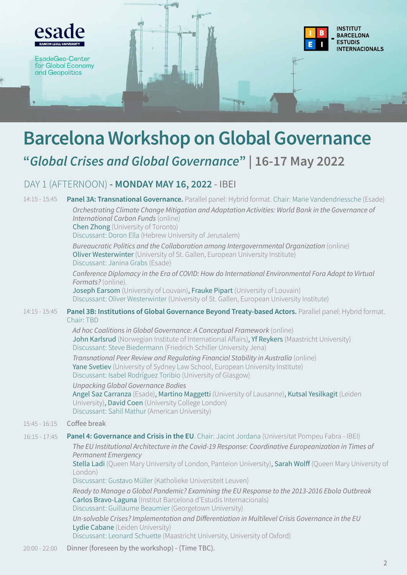

# **Barcelona Workshop on Global Governance**

## **"***Global Crises and Global Governance***" | 16-17 May 2022**

### DAY 1 (AFTERNOON) **- MONDAY MAY 16, 2022** - IBEI

| $14:15 - 15:45$ | Panel 3A: Transnational Governance. Parallel panel: Hybrid format. Chair: Marie Vandendriessche (Esade)                                                                                                                                                |
|-----------------|--------------------------------------------------------------------------------------------------------------------------------------------------------------------------------------------------------------------------------------------------------|
|                 | Orchestrating Climate Change Mitigation and Adaptation Activities: World Bank in the Governance of<br>International Carbon Funds (online)<br><b>Chen Zhong</b> (University of Toronto)                                                                 |
|                 | Discussant: Doron Ella (Hebrew University of Jerusalem)                                                                                                                                                                                                |
|                 | Bureaucratic Politics and the Collaboration among Intergovernmental Organization (online)<br>Oliver Westerwinter (University of St. Gallen, European University Institute)<br>Discussant: Janina Grabs (Esade)                                         |
|                 | Conference Diplomacy in the Era of COVID: How do International Environmental Fora Adapt to Virtual<br>Formats? (online).<br>Joseph Earsom (University of Louvain), Frauke Pipart (University of Louvain)                                               |
|                 | Discussant: Oliver Westerwinter (University of St. Gallen, European University Institute)                                                                                                                                                              |
| $14:15 - 15:45$ | Panel 3B: Institutions of Global Governance Beyond Treaty-based Actors. Parallel panel: Hybrid format.<br>Chair: TBD                                                                                                                                   |
|                 | Ad hoc Coalitions in Global Governance: A Conceptual Framework (online)<br>John Karlsrud (Norwegian Institute of International Affairs), Yf Reykers (Maastricht University)<br>Discussant: Steve Biedermann (Friedrich Schiller University Jena)       |
|                 | Transnational Peer Review and Regulating Financial Stability in Australia (online)<br>Yane Svetiev (University of Sydney Law School, European University Institute)<br>Discussant: Isabel Rodríguez Toribio (University of Glasgow)                    |
|                 | <b>Unpacking Global Governance Bodies</b><br>Angel Saz Carranza (Esade), Martino Maggetti (University of Lausanne), Kutsal Yesilkagit (Leiden<br>University), David Coen (University College London)<br>Discussant: Sahil Mathur (American University) |
| $15:45 - 16:15$ | Coffee break                                                                                                                                                                                                                                           |
| $16:15 - 17:45$ | Panel 4: Governance and Crisis in the EU. Chair: Jacint Jordana (Universitat Pompeu Fabra - IBEI)                                                                                                                                                      |
|                 | The EU Institutional Architecture in the Covid-19 Response: Coordinative Europeanization in Times of<br><b>Permanent Emergency</b>                                                                                                                     |
|                 | Stella Ladi (Queen Mary University of London, Panteion University), Sarah Wolff (Queen Mary University of<br>London)                                                                                                                                   |
|                 | Discussant: Gustavo Müller (Katholieke Universiteit Leuven)                                                                                                                                                                                            |
|                 | Ready to Manage a Global Pandemic? Examining the EU Response to the 2013-2016 Ebola Outbreak<br>Carlos Bravo-Laguna (Institut Barcelona d'Estudis Internacionals)<br>Discussant: Guillaume Beaumier (Georgetown University)                            |
|                 | Un-solvable Crises? Implementation and Differentiation in Multilevel Crisis Governance in the EU<br>Lydie Cabane (Leiden University)                                                                                                                   |
|                 | Discussant: Leonard Schuette (Maastricht University, University of Oxford)                                                                                                                                                                             |

Dinner (foreseen by the workshop) - (Time TBC). 20:00 - 22:00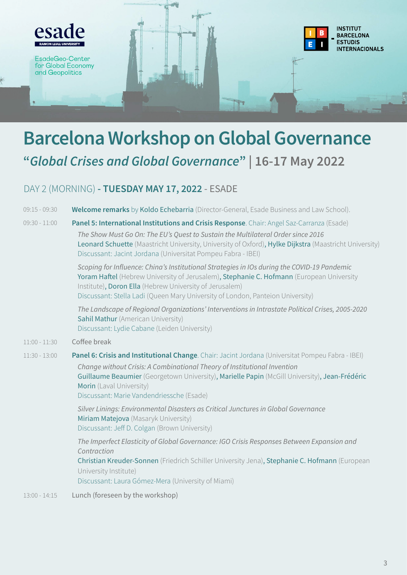

## **Barcelona Workshop on Global Governance "***Global Crises and Global Governance***" | 16-17 May 2022**

### DAY 2 (MORNING) **- TUESDAY MAY 17, 2022** - ESADE

- **Welcome remarks** by Koldo Echebarria (Director-General, Esade Business and Law School). 09:15 - 09:30
- **Panel 5: International Institutions and Crisis Response**. Chair: Angel Saz-Carranza (Esade) *The Show Must Go On: The EU's Quest to Sustain the Multilateral Order since 2016* Leonard Schuette (Maastricht University, University of Oxford), Hylke Dijkstra (Maastricht University) Discussant: Jacint Jordana (Universitat Pompeu Fabra - IBEI)  $09.30 - 11.00$

*Scoping for Influence: China's Institutional Strategies in IOs during the COVID-19 Pandemic* Yoram Haftel (Hebrew University of Jerusalem), Stephanie C. Hofmann (European University Institute), Doron Ella (Hebrew University of Jerusalem) Discussant: Stella Ladi (Queen Mary University of London, Panteion University)

*The Landscape of Regional Organizations' Interventions in Intrastate Political Crises, 2005-2020* Sahil Mathur (American University) Discussant: Lydie Cabane (Leiden University)

Coffee break  $11:00 - 11:30$ 

#### **Panel 6: Crisis and Institutional Change**. Chair: Jacint Jordana (Universitat Pompeu Fabra - IBEI) *Change without Crisis: A Combinational Theory of Institutional Invention* Guillaume Beaumier (Georgetown University), Marielle Papin (McGill University), Jean-Frédéric Morin (Laval University) Discussant: Marie Vandendriessche (Esade) 11:30 - 13:00

*Silver Linings: Environmental Disasters as Critical Junctures in Global Governance* Miriam Matejova (Masaryk University) Discussant: Jeff D. Colgan (Brown University)

*The Imperfect Elasticity of Global Governance: IGO Crisis Responses Between Expansion and Contraction* Christian Kreuder-Sonnen (Friedrich Schiller University Jena), Stephanie C. Hofmann (European

University Institute)

Discussant: Laura Gómez-Mera (University of Miami)

Lunch (foreseen by the workshop) 13:00 - 14:15